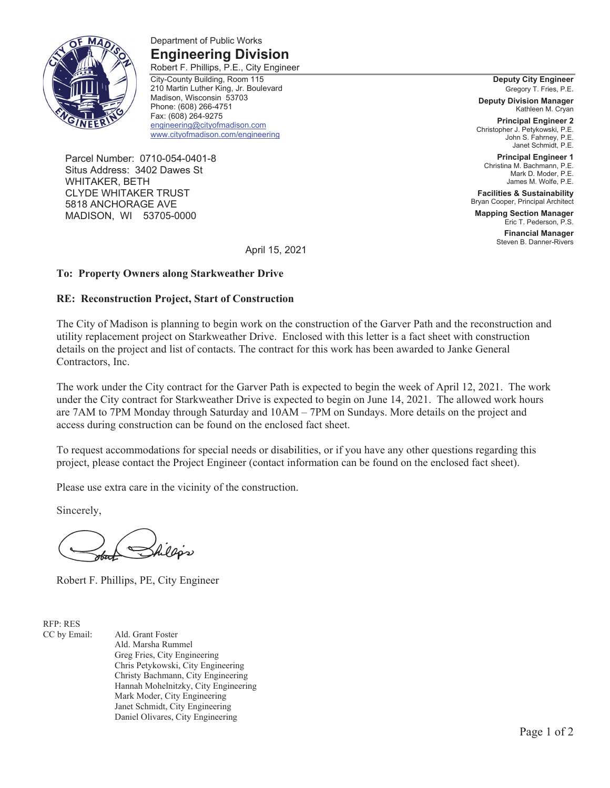

#### Department of Public Works **Engineering Division**

Robert F. Phillips, P.E., City Engineer City-County Building, Room 115 210 Martin Luther King, Jr. Boulevard Madison, Wisconsin 53703 Phone: (608) 266-4751 Fax: (608) 264-9275 engineering@cityofmadison.com www.cityofmadison.com/engineering

Parcel Number: 0710-054-0401-8 Situs Address: 3402 Dawes St WHITAKER, BETH CLYDE WHITAKER TRUST 5818 ANCHORAGE AVE MADISON, WI 53705-0000

**Deputy City Engineer**  Gregory T. Fries, P.E.

**Deputy Division Manager**  Kathleen M. Cryan

**Principal Engineer 2**  Christopher J. Petykowski, P.E. John S. Fahrney, P.E. Janet Schmidt, P.E.

**Principal Engineer 1**  Christina M. Bachmann, P.E. Mark D. Moder, P.E. James M. Wolfe, P.E.

**Facilities & Sustainability**  Bryan Cooper, Principal Architect

**Mapping Section Manager**  Eric T. Pederson, P.S.

> **Financial Manager**  Steven B. Danner-Rivers

April 15, 2021

#### **To: Property Owners along Starkweather Drive**

#### **RE: Reconstruction Project, Start of Construction**

The City of Madison is planning to begin work on the construction of the Garver Path and the reconstruction and utility replacement project on Starkweather Drive. Enclosed with this letter is a fact sheet with construction details on the project and list of contacts. The contract for this work has been awarded to Janke General Contractors, Inc.

The work under the City contract for the Garver Path is expected to begin the week of April 12, 2021. The work under the City contract for Starkweather Drive is expected to begin on June 14, 2021. The allowed work hours are 7AM to 7PM Monday through Saturday and 10AM – 7PM on Sundays. More details on the project and access during construction can be found on the enclosed fact sheet.

To request accommodations for special needs or disabilities, or if you have any other questions regarding this project, please contact the Project Engineer (contact information can be found on the enclosed fact sheet).

Please use extra care in the vicinity of the construction.

Sincerely,

Robert F. Phillips, PE, City Engineer

RFP: RES

CC by Email: Ald. Grant Foster Ald. Marsha Rummel Greg Fries, City Engineering Chris Petykowski, City Engineering Christy Bachmann, City Engineering Hannah Mohelnitzky, City Engineering Mark Moder, City Engineering Janet Schmidt, City Engineering Daniel Olivares, City Engineering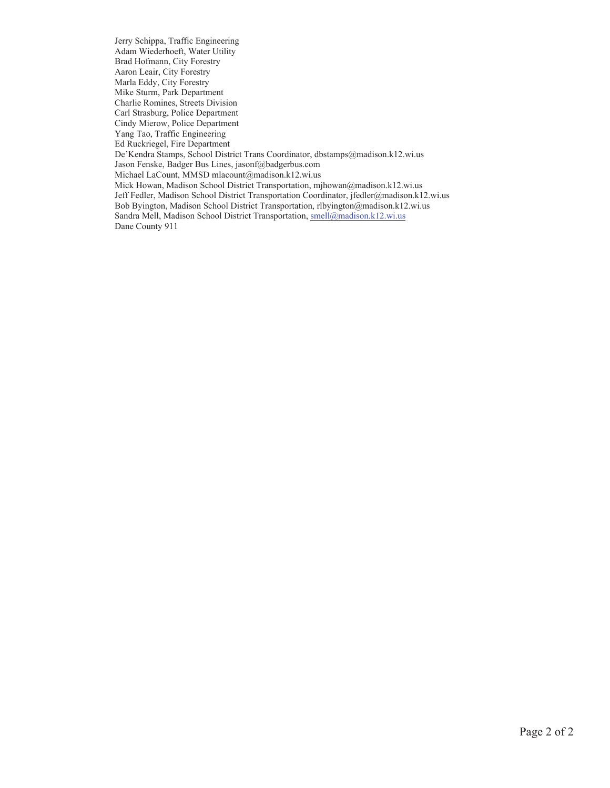Jerry Schippa, Traffic Engineering Adam Wiederhoeft, Water Utility Brad Hofmann, City Forestry Aaron Leair, City Forestry Marla Eddy, City Forestry Mike Sturm, Park Department Charlie Romines, Streets Division Carl Strasburg, Police Department Cindy Mierow, Police Department Yang Tao, Traffic Engineering Ed Ruckriegel, Fire Department De'Kendra Stamps, School District Trans Coordinator, dbstamps@madison.k12.wi.us Jason Fenske, Badger Bus Lines, jasonf@badgerbus.com Michael LaCount, MMSD mlacount@madison.k12.wi.us Mick Howan, Madison School District Transportation, mjhowan@madison.k12.wi.us Jeff Fedler, Madison School District Transportation Coordinator, jfedler@madison.k12.wi.us Bob Byington, Madison School District Transportation, rlbyington@madison.k12.wi.us Sandra Mell, Madison School District Transportation, smell@madison.k12.wi.us Dane County 911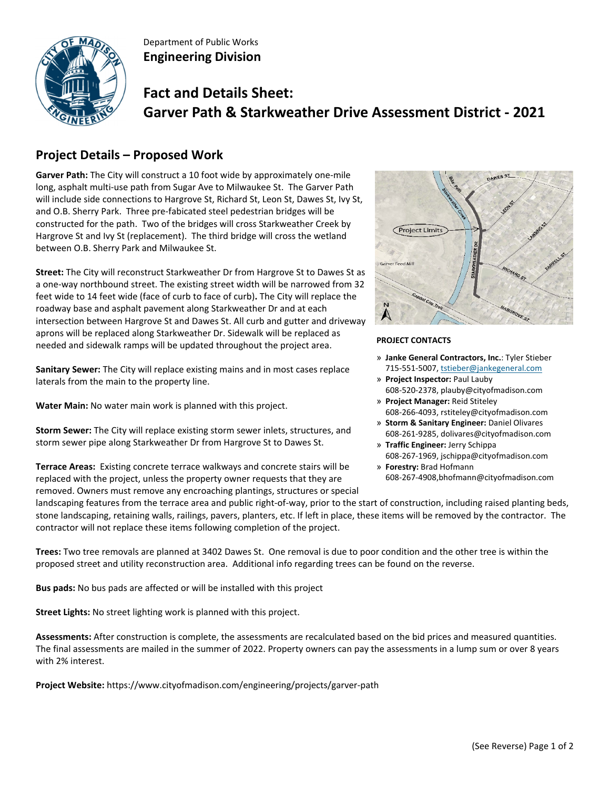

Department of Public Works **Engineering Division**

# **Fact and Details Sheet: Garver Path & Starkweather Drive Assessment District - 2021**

## **Project Details – Proposed Work**

**Garver Path:** The City will construct a 10 foot wide by approximately one‐mile long, asphalt multi‐use path from Sugar Ave to Milwaukee St. The Garver Path will include side connections to Hargrove St, Richard St, Leon St, Dawes St, Ivy St, and O.B. Sherry Park. Three pre‐fabicated steel pedestrian bridges will be constructed for the path. Two of the bridges will cross Starkweather Creek by Hargrove St and Ivy St (replacement). The third bridge will cross the wetland between O.B. Sherry Park and Milwaukee St.

**Street:** The City will reconstruct Starkweather Dr from Hargrove St to Dawes St as a one‐way northbound street. The existing street width will be narrowed from 32 feet wide to 14 feet wide (face of curb to face of curb)**.** The City will replace the roadway base and asphalt pavement along Starkweather Dr and at each intersection between Hargrove St and Dawes St. All curb and gutter and driveway aprons will be replaced along Starkweather Dr. Sidewalk will be replaced as needed and sidewalk ramps will be updated throughout the project area.

**Sanitary Sewer:** The City will replace existing mains and in most cases replace laterals from the main to the property line.

**Water Main:** No water main work is planned with this project.

**Storm Sewer:** The City will replace existing storm sewer inlets, structures, and storm sewer pipe along Starkweather Dr from Hargrove St to Dawes St.

**Terrace Areas:** Existing concrete terrace walkways and concrete stairs will be replaced with the project, unless the property owner requests that they are removed. Owners must remove any encroaching plantings, structures or special



#### **PROJECT CONTACTS**

- » **Janke General Contractors, Inc.**: Tyler Stieber 715‐551‐5007, tstieber@jankegeneral.com
- » **Project Inspector:** Paul Lauby 608‐520‐2378, plauby@cityofmadison.com
- » **Project Manager:** Reid Stiteley 608‐266‐4093, rstiteley@cityofmadison.com
- » **Storm & Sanitary Engineer:** Daniel Olivares 608‐261‐9285, dolivares@cityofmadison.com
- » **Traffic Engineer:** Jerry Schippa 608‐267‐1969, jschippa@cityofmadison.com
- » **Forestry:** Brad Hofmann 608‐267‐4908,bhofmann@cityofmadison.com

landscaping features from the terrace area and public right-of-way, prior to the start of construction, including raised planting beds, stone landscaping, retaining walls, railings, pavers, planters, etc. If left in place, these items will be removed by the contractor. The contractor will not replace these items following completion of the project.

**Trees:** Two tree removals are planned at 3402 Dawes St. One removal is due to poor condition and the other tree is within the proposed street and utility reconstruction area. Additional info regarding trees can be found on the reverse.

**Bus pads:** No bus pads are affected or will be installed with this project

**Street Lights:** No street lighting work is planned with this project.

**Assessments:** After construction is complete, the assessments are recalculated based on the bid prices and measured quantities. The final assessments are mailed in the summer of 2022. Property owners can pay the assessments in a lump sum or over 8 years with 2% interest.

**Project Website:** https://www.cityofmadison.com/engineering/projects/garver‐path